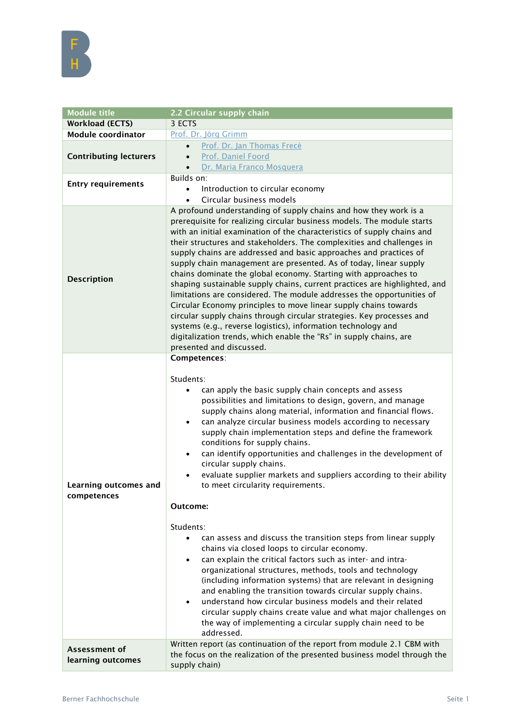| <b>Module title</b>                  | 2.2 Circular supply chain                                                                                                                                                                                                                                                                                                                                                                                                                                                                                                                                                                                                                                                                                                                                                                                                                                                                                                                                                         |
|--------------------------------------|-----------------------------------------------------------------------------------------------------------------------------------------------------------------------------------------------------------------------------------------------------------------------------------------------------------------------------------------------------------------------------------------------------------------------------------------------------------------------------------------------------------------------------------------------------------------------------------------------------------------------------------------------------------------------------------------------------------------------------------------------------------------------------------------------------------------------------------------------------------------------------------------------------------------------------------------------------------------------------------|
| <b>Workload (ECTS)</b>               | 3 ECTS                                                                                                                                                                                                                                                                                                                                                                                                                                                                                                                                                                                                                                                                                                                                                                                                                                                                                                                                                                            |
| <b>Module coordinator</b>            | Prof. Dr. Jörg Grimm                                                                                                                                                                                                                                                                                                                                                                                                                                                                                                                                                                                                                                                                                                                                                                                                                                                                                                                                                              |
|                                      | Prof. Dr. Jan Thomas Frecè<br>$\bullet$                                                                                                                                                                                                                                                                                                                                                                                                                                                                                                                                                                                                                                                                                                                                                                                                                                                                                                                                           |
| <b>Contributing lecturers</b>        | Prof. Daniel Foord<br>$\bullet$                                                                                                                                                                                                                                                                                                                                                                                                                                                                                                                                                                                                                                                                                                                                                                                                                                                                                                                                                   |
|                                      | Dr. Maria Franco Mosquera<br>$\bullet$                                                                                                                                                                                                                                                                                                                                                                                                                                                                                                                                                                                                                                                                                                                                                                                                                                                                                                                                            |
| <b>Entry requirements</b>            | Builds on:                                                                                                                                                                                                                                                                                                                                                                                                                                                                                                                                                                                                                                                                                                                                                                                                                                                                                                                                                                        |
|                                      | Introduction to circular economy<br>$\bullet$<br>Circular business models                                                                                                                                                                                                                                                                                                                                                                                                                                                                                                                                                                                                                                                                                                                                                                                                                                                                                                         |
| <b>Description</b>                   | A profound understanding of supply chains and how they work is a<br>prerequisite for realizing circular business models. The module starts<br>with an initial examination of the characteristics of supply chains and<br>their structures and stakeholders. The complexities and challenges in<br>supply chains are addressed and basic approaches and practices of<br>supply chain management are presented. As of today, linear supply<br>chains dominate the global economy. Starting with approaches to<br>shaping sustainable supply chains, current practices are highlighted, and<br>limitations are considered. The module addresses the opportunities of<br>Circular Economy principles to move linear supply chains towards<br>circular supply chains through circular strategies. Key processes and<br>systems (e.g., reverse logistics), information technology and<br>digitalization trends, which enable the "Rs" in supply chains, are<br>presented and discussed. |
| Learning outcomes and<br>competences | Competences:<br>Students:<br>can apply the basic supply chain concepts and assess<br>possibilities and limitations to design, govern, and manage<br>supply chains along material, information and financial flows.<br>can analyze circular business models according to necessary<br>$\bullet$<br>supply chain implementation steps and define the framework<br>conditions for supply chains.<br>can identify opportunities and challenges in the development of<br>$\bullet$<br>circular supply chains.<br>evaluate supplier markets and suppliers according to their ability<br>$\bullet$<br>to meet circularity requirements.<br>Outcome:                                                                                                                                                                                                                                                                                                                                      |
|                                      | Students:<br>can assess and discuss the transition steps from linear supply<br>$\bullet$<br>chains via closed loops to circular economy.<br>can explain the critical factors such as inter- and intra-<br>$\bullet$<br>organizational structures, methods, tools and technology<br>(including information systems) that are relevant in designing<br>and enabling the transition towards circular supply chains.<br>understand how circular business models and their related<br>$\bullet$<br>circular supply chains create value and what major challenges on<br>the way of implementing a circular supply chain need to be<br>addressed.                                                                                                                                                                                                                                                                                                                                        |
| Assessment of<br>learning outcomes   | Written report (as continuation of the report from module 2.1 CBM with<br>the focus on the realization of the presented business model through the<br>supply chain)                                                                                                                                                                                                                                                                                                                                                                                                                                                                                                                                                                                                                                                                                                                                                                                                               |